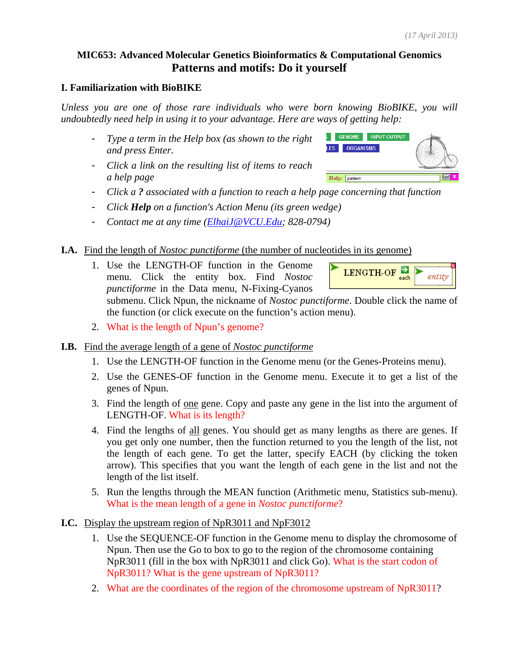# **MIC653: Advanced Molecular Genetics Bioinformatics & Computational Genomics Patterns and motifs: Do it yourself**

### **I. Familiarization with BioBIKE**

*Unless you are one of those rare individuals who were born knowing BioBIKE, you will undoubtedly need help in using it to your advantage. Here are ways of getting help:* 

- *Type a term in the Help box (as shown to the right and press Enter.*
- *Click a link on the resulting list of items to reach a help page*



- *Click a ? associated with a function to reach a help page concerning that function*
- *Click Help on a function's Action Menu (its green wedge)*
- *Contact me at any time (ElhaiJ@VCU.Edu; 828-0794)*

## **I.A.** Find the length of *Nostoc punctiforme* (the number of nucleotides in its genome)

1. Use the LENGTH-OF function in the Genome menu. Click the entity box. Find *Nostoc punctiforme* in the Data menu, N-Fixing-Cyanos

submenu. Click Npun, the nickname of *Nostoc punctiforme*. Double click the name of the function (or click execute on the function's action menu).

- 2. What is the length of Npun's genome?
- **I.B.** Find the average length of a gene of *Nostoc punctiforme*
	- 1. Use the LENGTH-OF function in the Genome menu (or the Genes-Proteins menu).
	- 2. Use the GENES-OF function in the Genome menu. Execute it to get a list of the genes of Npun.
	- 3. Find the length of one gene. Copy and paste any gene in the list into the argument of LENGTH-OF. What is its length?
	- 4. Find the lengths of all genes. You should get as many lengths as there are genes. If you get only one number, then the function returned to you the length of the list, not the length of each gene. To get the latter, specify EACH (by clicking the token arrow). This specifies that you want the length of each gene in the list and not the length of the list itself.
	- 5. Run the lengths through the MEAN function (Arithmetic menu, Statistics sub-menu). What is the mean length of a gene in *Nostoc punctiforme*?

### **I.C.** Display the upstream region of NpR3011 and NpF3012

- 1. Use the SEQUENCE-OF function in the Genome menu to display the chromosome of Npun. Then use the Go to box to go to the region of the chromosome containing NpR3011 (fill in the box with NpR3011 and click Go). What is the start codon of NpR3011? What is the gene upstream of NpR3011?
- 2. What are the coordinates of the region of the chromosome upstream of NpR3011?

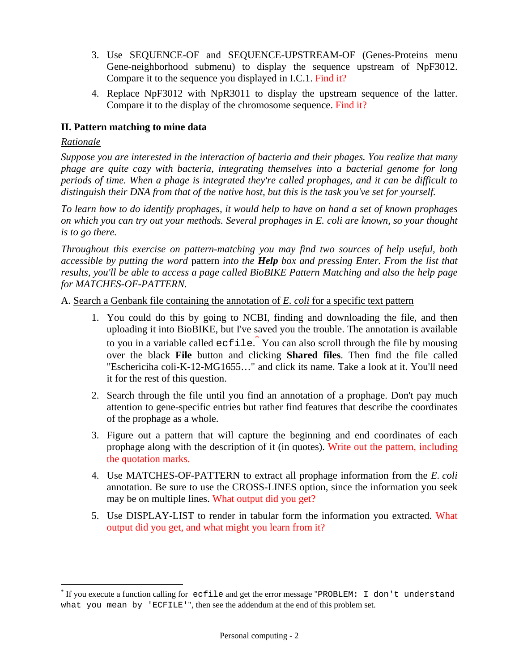- 3. Use SEQUENCE-OF and SEQUENCE-UPSTREAM-OF (Genes-Proteins menu Gene-neighborhood submenu) to display the sequence upstream of NpF3012. Compare it to the sequence you displayed in I.C.1. Find it?
- 4. Replace NpF3012 with NpR3011 to display the upstream sequence of the latter. Compare it to the display of the chromosome sequence. Find it?

# **II. Pattern matching to mine data**

## *Rationale*

 $\overline{a}$ 

*Suppose you are interested in the interaction of bacteria and their phages. You realize that many phage are quite cozy with bacteria, integrating themselves into a bacterial genome for long periods of time. When a phage is integrated they're called prophages, and it can be difficult to distinguish their DNA from that of the native host, but this is the task you've set for yourself.* 

*To learn how to do identify prophages, it would help to have on hand a set of known prophages on which you can try out your methods. Several prophages in E. coli are known, so your thought is to go there.* 

*Throughout this exercise on pattern-matching you may find two sources of help useful, both accessible by putting the word* pattern *into the Help box and pressing Enter. From the list that results, you'll be able to access a page called BioBIKE Pattern Matching and also the help page for MATCHES-OF-PATTERN.* 

A. Search a Genbank file containing the annotation of *E. coli* for a specific text pattern

- 1. You could do this by going to NCBI, finding and downloading the file, and then uploading it into BioBIKE, but I've saved you the trouble. The annotation is available to you in a variable called ecfile. \* You can also scroll through the file by mousing over the black **File** button and clicking **Shared files**. Then find the file called "Eschericiha coli-K-12-MG1655…" and click its name. Take a look at it. You'll need it for the rest of this question.
- 2. Search through the file until you find an annotation of a prophage. Don't pay much attention to gene-specific entries but rather find features that describe the coordinates of the prophage as a whole.
- 3. Figure out a pattern that will capture the beginning and end coordinates of each prophage along with the description of it (in quotes). Write out the pattern, including the quotation marks.
- 4. Use MATCHES-OF-PATTERN to extract all prophage information from the *E. coli* annotation. Be sure to use the CROSS-LINES option, since the information you seek may be on multiple lines. What output did you get?
- 5. Use DISPLAY-LIST to render in tabular form the information you extracted. What output did you get, and what might you learn from it?

<sup>\*</sup> If you execute a function calling for ecfile and get the error message "PROBLEM: I don't understand what you mean by 'ECFILE'", then see the addendum at the end of this problem set.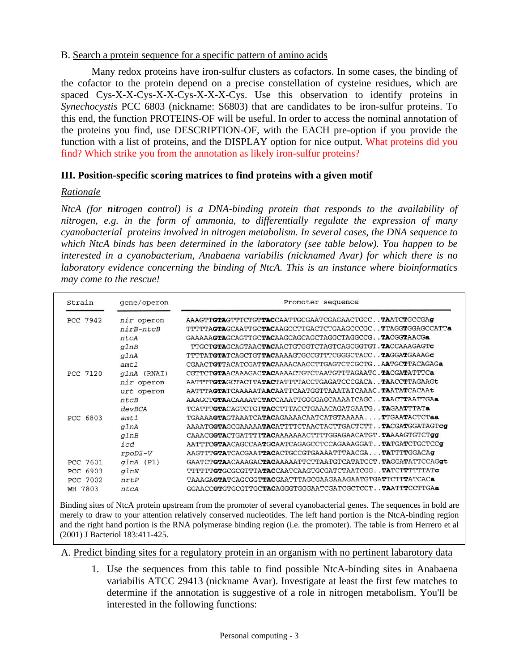### B. Search a protein sequence for a specific pattern of amino acids

Many redox proteins have iron-sulfur clusters as cofactors. In some cases, the binding of the cofactor to the protein depend on a precise constellation of cysteine residues, which are spaced Cys-X-X-Cys-X-X-Cys-X-X-X-Cys. Use this observation to identify proteins in *Synechocystis* PCC 6803 (nickname: S6803) that are candidates to be iron-sulfur proteins. To this end, the function PROTEINS-OF will be useful. In order to access the nominal annotation of the proteins you find, use DESCRIPTION-OF, with the EACH pre-option if you provide the function with a list of proteins, and the DISPLAY option for nice output. What proteins did you find? Which strike you from the annotation as likely iron-sulfur proteins?

## **III. Position-specific scoring matrices to find proteins with a given motif**

### *Rationale*

*NtcA (for nitrogen control) is a DNA-binding protein that responds to the availability of nitrogen, e.g. in the form of ammonia, to differentially regulate the expression of many cyanobacterial proteins involved in nitrogen metabolism. In several cases, the DNA sequence to which NtcA binds has been determined in the laboratory (see table below). You happen to be interested in a cyanobacterium, Anabaena variabilis (nicknamed Avar) for which there is no laboratory evidence concerning the binding of NtcA. This is an instance where bioinformatics may come to the rescue!* 

| Strain             | gene/operon    | Promoter sequence                                           |  |  |
|--------------------|----------------|-------------------------------------------------------------|--|--|
| PCC 7942           | nir operon     | AAAGTTGTAGTTTCTGTTACCAATTGCGAATCGAGAACTGCCTAATCTGCCGAg      |  |  |
|                    | $nirB-ntCB$    | TTTTTAGTAGCAATTGCTACAAGCCTTGACTCTGAAGCCCGCTTAGGTGGAGCCATTa  |  |  |
|                    | ntcA           |                                                             |  |  |
|                    | glnB           | TTGCTGTAGCAGTAACTACAACTGTGGTCTAGTCAGCGGTGT.TACCAAAGAGTC     |  |  |
|                    | glnA           | TTTTATGTATCAGCTGTTACAAAAGTGCCGTTTCGGGCTACCTAGGATGAAAGc      |  |  |
|                    | amt1           | CGAACTGTTACATCGATTACAAAACAACCTTGAGTCTCGCTGAATGCTTACAGAGa    |  |  |
| PCC 7120           | (RNAI)<br>qlnA | CGTTCTGTAACAAAGACTACAAAACTGTCTAATGTTTAGAATC.TACGATATTTCa    |  |  |
|                    | nir operon     | AATTTTGTAGCTACTTATACTATTTTACCTGAGATCCCGACATAACCTTAGAAGt     |  |  |
|                    | operon<br>urt  | AATTTAGTATCAAAAATAACAATTCAATGGTTAAATATCAAAC.TAATATCACAAL    |  |  |
|                    | ntCB           | AAAGCTGTAACAAAATCTACCAAATTGGGGAGCAAAATCAGCTAACTTAATTGAa     |  |  |
|                    | devBCA         | TCATTTGTACAGTCTGTTACCTTTACCTGAAACAGATGAATGTAGAATTTATa       |  |  |
| PCC 6803           | amt1           | TGAAAAGTAGTAAATCATACAGAAAACAATCATGTAAAAATTGAATACTCTaa       |  |  |
|                    | glnA           | AAAATGGTAGCGAAAAATACATTTTCTAACTACTTGACTCTTTACGATGGATAGTcg   |  |  |
|                    | glnB           | CAAACGGTACTGATTTTTACAAAAAAACTTTTGGAGAACATGT.TAAAAGTGTCTgg   |  |  |
|                    | icd            | AATTTCGTAACAGCCAATGCAATCAGAGCCTCCAGAAAGGATTATGATCTGCTCCg    |  |  |
|                    | $rpoD2-V$      | AAGTTTGTATCACGAATTACACTGCCGTGAAAATTTAACGATATTTTGGACAG       |  |  |
| <b>PCC 7601</b>    | (P1)<br>qInA   | GAATCTGTAACAAAGACTACAAAAATTCTTAATGTCATATCCT.TAGGATATTCCAGgt |  |  |
| 6903<br><b>PCC</b> | qlmN           | TTTTTTGTGCGCGTTTATACCAATCAAGTGCGATCTAATCGGTATCTTTTTTATc     |  |  |
| PCC 7002           | nrtP           | TAAAGAGTATCAGCGGTTACGAATTTAGCGAAGAAAGAATGTGATTCTTTATCACa    |  |  |
| WH 7803            | ntcA           | GGAACCGTGTGCGTTGCTACAGGGTGGGAATCGATCGCTCCT. TAATTTCCTTGAa   |  |  |

Binding sites of NtcA protein upstream from the promoter of several cyanobacterial genes. The sequences in bold are merely to draw to your attention relatively conserved nucleotides. The left hand portion is the NtcA-binding region and the right hand portion is the RNA polymerase binding region (i.e. the promoter). The table is from Herrero et al (2001) J Bacteriol 183:411-425.

A. Predict binding sites for a regulatory protein in an organism with no pertinent labarotory data

1. Use the sequences from this table to find possible NtcA-binding sites in Anabaena variabilis ATCC 29413 (nickname Avar). Investigate at least the first few matches to determine if the annotation is suggestive of a role in nitrogen metabolism. You'll be interested in the following functions: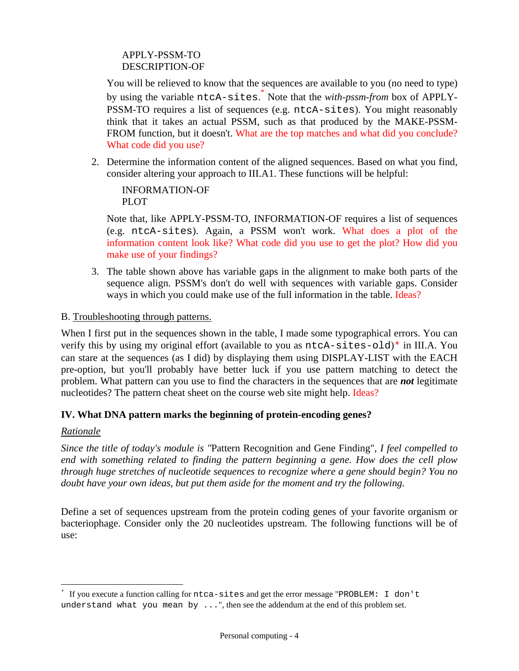## APPLY-PSSM-TO DESCRIPTION-OF

You will be relieved to know that the sequences are available to you (no need to type) by using the variable ntcA-sites.<sup>\*</sup> Note that the *with-pssm-from* box of APPLY-PSSM-TO requires a list of sequences (e.g. ntcA-sites). You might reasonably think that it takes an actual PSSM, such as that produced by the MAKE-PSSM-FROM function, but it doesn't. What are the top matches and what did you conclude? What code did you use?

2. Determine the information content of the aligned sequences. Based on what you find, consider altering your approach to III.A1. These functions will be helpful:

INFORMATION-OF PLOT

Note that, like APPLY-PSSM-TO, INFORMATION-OF requires a list of sequences (e.g. ntcA-sites). Again, a PSSM won't work. What does a plot of the information content look like? What code did you use to get the plot? How did you make use of your findings?

3. The table shown above has variable gaps in the alignment to make both parts of the sequence align. PSSM's don't do well with sequences with variable gaps. Consider ways in which you could make use of the full information in the table. Ideas?

B. Troubleshooting through patterns.

When I first put in the sequences shown in the table, I made some typographical errors. You can verify this by using my original effort (available to you as ntcA-sites-old)\* in III.A. You can stare at the sequences (as I did) by displaying them using DISPLAY-LIST with the EACH pre-option, but you'll probably have better luck if you use pattern matching to detect the problem. What pattern can you use to find the characters in the sequences that are *not* legitimate nucleotides? The pattern cheat sheet on the course web site might help. Ideas?

# **IV. What DNA pattern marks the beginning of protein-encoding genes?**

## *Rationale*

 $\overline{a}$ 

*Since the title of today's module is "*Pattern Recognition and Gene Finding", *I feel compelled to end with something related to finding the pattern beginning a gene. How does the cell plow through huge stretches of nucleotide sequences to recognize where a gene should begin? You no doubt have your own ideas, but put them aside for the moment and try the following.* 

Define a set of sequences upstream from the protein coding genes of your favorite organism or bacteriophage. Consider only the 20 nucleotides upstream. The following functions will be of use:

<sup>\*</sup> If you execute a function calling for ntca-sites and get the error message "PROBLEM: I don't understand what you mean by  $\dots$ ", then see the addendum at the end of this problem set.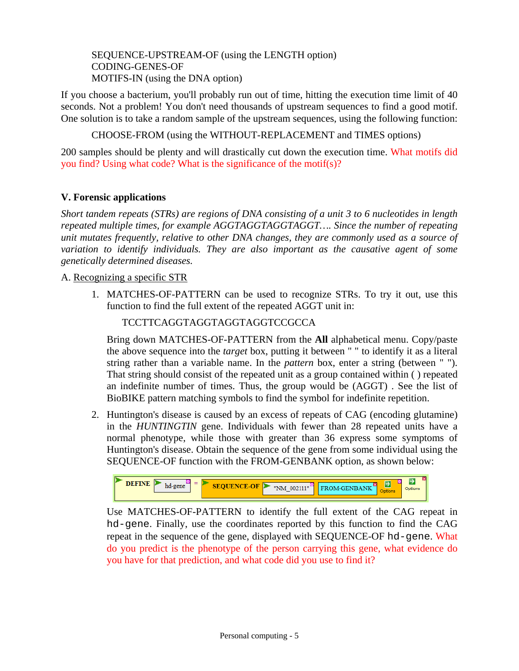SEQUENCE-UPSTREAM-OF (using the LENGTH option) CODING-GENES-OF MOTIFS-IN (using the DNA option)

If you choose a bacterium, you'll probably run out of time, hitting the execution time limit of 40 seconds. Not a problem! You don't need thousands of upstream sequences to find a good motif. One solution is to take a random sample of the upstream sequences, using the following function:

CHOOSE-FROM (using the WITHOUT-REPLACEMENT and TIMES options)

200 samples should be plenty and will drastically cut down the execution time. What motifs did you find? Using what code? What is the significance of the motif(s)?

# **V. Forensic applications**

*Short tandem repeats (STRs) are regions of DNA consisting of a unit 3 to 6 nucleotides in length repeated multiple times, for example AGGTAGGTAGGTAGGT…. Since the number of repeating unit mutates frequently, relative to other DNA changes, they are commonly used as a source of variation to identify individuals. They are also important as the causative agent of some genetically determined diseases.* 

## A. Recognizing a specific STR

1. MATCHES-OF-PATTERN can be used to recognize STRs. To try it out, use this function to find the full extent of the repeated AGGT unit in:

TCCTTCAGGTAGGTAGGTAGGTCCGCCA

Bring down MATCHES-OF-PATTERN from the **All** alphabetical menu. Copy/paste the above sequence into the *target* box, putting it between " " to identify it as a literal string rather than a variable name. In the *pattern* box, enter a string (between " "). That string should consist of the repeated unit as a group contained within ( ) repeated an indefinite number of times. Thus, the group would be (AGGT) . See the list of BioBIKE pattern matching symbols to find the symbol for indefinite repetition.

2. Huntington's disease is caused by an excess of repeats of CAG (encoding glutamine) in the *HUNTINGTIN* gene. Individuals with fewer than 28 repeated units have a normal phenotype, while those with greater than 36 express some symptoms of Huntington's disease. Obtain the sequence of the gene from some individual using the SEQUENCE-OF function with the FROM-GENBANK option, as shown below:



Use MATCHES-OF-PATTERN to identify the full extent of the CAG repeat in hd-gene. Finally, use the coordinates reported by this function to find the CAG repeat in the sequence of the gene, displayed with SEQUENCE-OF hd-gene. What do you predict is the phenotype of the person carrying this gene, what evidence do you have for that prediction, and what code did you use to find it?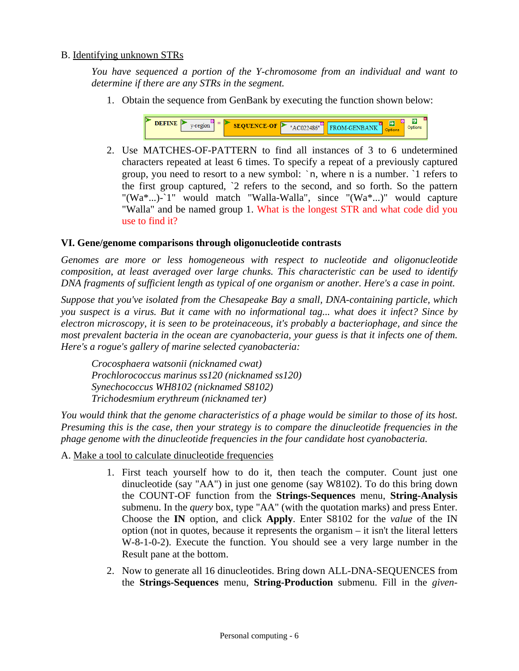### B. Identifying unknown STRs

*You have sequenced a portion of the Y-chromosome from an individual and want to determine if there are any STRs in the segment.* 

1. Obtain the sequence from GenBank by executing the function shown below:



2. Use MATCHES-OF-PATTERN to find all instances of 3 to 6 undetermined characters repeated at least 6 times. To specify a repeat of a previously captured group, you need to resort to a new symbol: `n, where n is a number. `1 refers to the first group captured, `2 refers to the second, and so forth. So the pattern "(Wa\*...)-`1" would match "Walla-Walla", since "(Wa\*...)" would capture "Walla" and be named group 1. What is the longest STR and what code did you use to find it?

### **VI. Gene/genome comparisons through oligonucleotide contrasts**

*Genomes are more or less homogeneous with respect to nucleotide and oligonucleotide composition, at least averaged over large chunks. This characteristic can be used to identify DNA fragments of sufficient length as typical of one organism or another. Here's a case in point.* 

*Suppose that you've isolated from the Chesapeake Bay a small, DNA-containing particle, which you suspect is a virus. But it came with no informational tag... what does it infect? Since by electron microscopy, it is seen to be proteinaceous, it's probably a bacteriophage, and since the most prevalent bacteria in the ocean are cyanobacteria, your guess is that it infects one of them. Here's a rogue's gallery of marine selected cyanobacteria:* 

 *Crocosphaera watsonii (nicknamed cwat) Prochlorococcus marinus ss120 (nicknamed ss120) Synechococcus WH8102 (nicknamed S8102) Trichodesmium erythreum (nicknamed ter)* 

*You would think that the genome characteristics of a phage would be similar to those of its host. Presuming this is the case, then your strategy is to compare the dinucleotide frequencies in the phage genome with the dinucleotide frequencies in the four candidate host cyanobacteria.* 

A. Make a tool to calculate dinucleotide frequencies

- 1. First teach yourself how to do it, then teach the computer. Count just one dinucleotide (say "AA") in just one genome (say W8102). To do this bring down the COUNT-OF function from the **Strings-Sequences** menu, **String-Analysis** submenu. In the *query* box, type "AA" (with the quotation marks) and press Enter. Choose the **IN** option, and click **Apply**. Enter S8102 for the *value* of the IN option (not in quotes, because it represents the organism – it isn't the literal letters W-8-1-0-2). Execute the function. You should see a very large number in the Result pane at the bottom.
- 2. Now to generate all 16 dinucleotides. Bring down ALL-DNA-SEQUENCES from the **Strings-Sequences** menu, **String-Production** submenu. Fill in the *given-*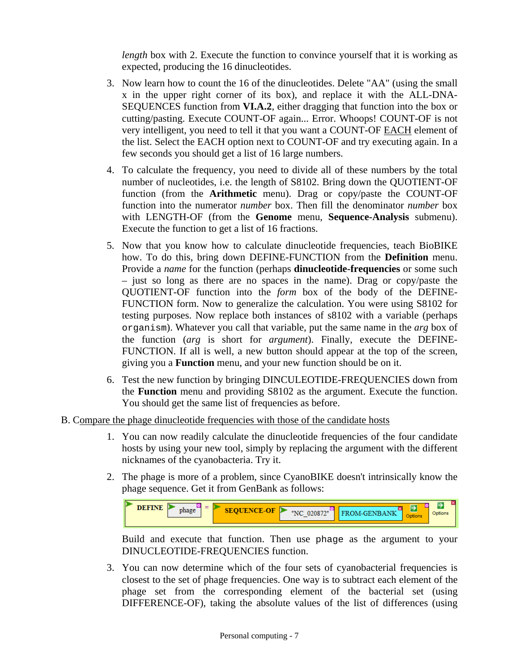*length* box with 2. Execute the function to convince yourself that it is working as expected, producing the 16 dinucleotides.

- 3. Now learn how to count the 16 of the dinucleotides. Delete "AA" (using the small x in the upper right corner of its box), and replace it with the ALL-DNA-SEQUENCES function from **VI.A.2**, either dragging that function into the box or cutting/pasting. Execute COUNT-OF again... Error. Whoops! COUNT-OF is not very intelligent, you need to tell it that you want a COUNT-OF EACH element of the list. Select the EACH option next to COUNT-OF and try executing again. In a few seconds you should get a list of 16 large numbers.
- 4. To calculate the frequency, you need to divide all of these numbers by the total number of nucleotides, i.e. the length of S8102. Bring down the QUOTIENT-OF function (from the **Arithmetic** menu). Drag or copy/paste the COUNT-OF function into the numerator *number* box. Then fill the denominator *number* box with LENGTH-OF (from the **Genome** menu, **Sequence-Analysis** submenu). Execute the function to get a list of 16 fractions.
- 5. Now that you know how to calculate dinucleotide frequencies, teach BioBIKE how. To do this, bring down DEFINE-FUNCTION from the **Definition** menu. Provide a *name* for the function (perhaps **dinucleotide-frequencies** or some such – just so long as there are no spaces in the name). Drag or copy/paste the QUOTIENT-OF function into the *form* box of the body of the DEFINE-FUNCTION form. Now to generalize the calculation. You were using S8102 for testing purposes. Now replace both instances of s8102 with a variable (perhaps organism). Whatever you call that variable, put the same name in the *arg* box of the function (*arg* is short for *argument*). Finally, execute the DEFINE-FUNCTION. If all is well, a new button should appear at the top of the screen, giving you a **Function** menu, and your new function should be on it.
- 6. Test the new function by bringing DINCULEOTIDE-FREQUENCIES down from the **Function** menu and providing S8102 as the argument. Execute the function. You should get the same list of frequencies as before.

### B. Compare the phage dinucleotide frequencies with those of the candidate hosts

- 1. You can now readily calculate the dinucleotide frequencies of the four candidate hosts by using your new tool, simply by replacing the argument with the different nicknames of the cyanobacteria. Try it.
- 2. The phage is more of a problem, since CyanoBIKE doesn't intrinsically know the phage sequence. Get it from GenBank as follows:



Build and execute that function. Then use phage as the argument to your DINUCLEOTIDE-FREQUENCIES function.

3. You can now determine which of the four sets of cyanobacterial frequencies is closest to the set of phage frequencies. One way is to subtract each element of the phage set from the corresponding element of the bacterial set (using DIFFERENCE-OF), taking the absolute values of the list of differences (using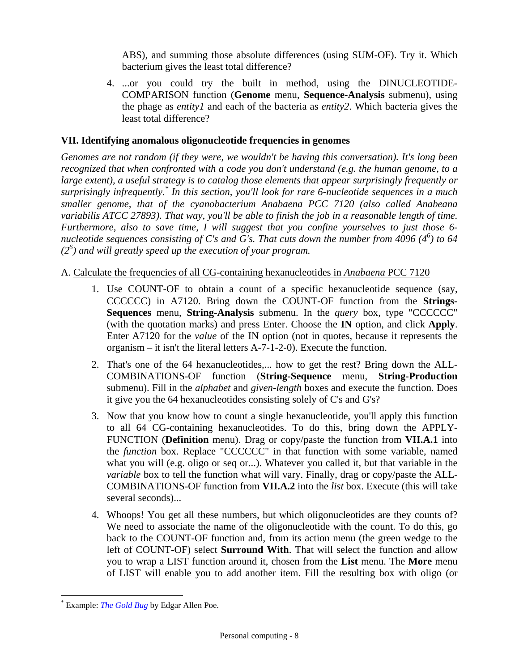ABS), and summing those absolute differences (using SUM-OF). Try it. Which bacterium gives the least total difference?

4. ...or you could try the built in method, using the DINUCLEOTIDE-COMPARISON function (**Genome** menu, **Sequence-Analysis** submenu), using the phage as *entity1* and each of the bacteria as *entity2*. Which bacteria gives the least total difference?

# **VII. Identifying anomalous oligonucleotide frequencies in genomes**

*Genomes are not random (if they were, we wouldn't be having this conversation). It's long been recognized that when confronted with a code you don't understand (e.g. the human genome, to a large extent), a useful strategy is to catalog those elements that appear surprisingly frequently or*  surprisingly infrequently.<sup>\*</sup> In this section, you'll look for rare 6-nucleotide sequences in a much *smaller genome, that of the cyanobacterium Anabaena PCC 7120 (also called Anabeana variabilis ATCC 27893). That way, you'll be able to finish the job in a reasonable length of time. Furthermore, also to save time, I will suggest that you confine yourselves to just those 6 nucleotide sequences consisting of C's and G's. That cuts down the number from 4096 (4<sup>6</sup> ) to 64 (26 ) and will greatly speed up the execution of your program.* 

# A. Calculate the frequencies of all CG-containing hexanucleotides in *Anabaena* PCC 7120

- 1. Use COUNT-OF to obtain a count of a specific hexanucleotide sequence (say, CCCCCC) in A7120. Bring down the COUNT-OF function from the **Strings-Sequences** menu, **String-Analysis** submenu. In the *query* box, type "CCCCCC" (with the quotation marks) and press Enter. Choose the **IN** option, and click **Apply**. Enter A7120 for the *value* of the IN option (not in quotes, because it represents the organism – it isn't the literal letters A-7-1-2-0). Execute the function.
- 2. That's one of the 64 hexanucleotides,... how to get the rest? Bring down the ALL-COMBINATIONS-OF function (**String-Sequence** menu, **String-Production**  submenu). Fill in the *alphabet* and *given-length* boxes and execute the function. Does it give you the 64 hexanucleotides consisting solely of C's and G's?
- 3. Now that you know how to count a single hexanucleotide, you'll apply this function to all 64 CG-containing hexanucleotides. To do this, bring down the APPLY-FUNCTION (**Definition** menu). Drag or copy/paste the function from **VII.A.1** into the *function* box. Replace "CCCCCC" in that function with some variable, named what you will (e.g. oligo or seq or...). Whatever you called it, but that variable in the *variable* box to tell the function what will vary. Finally, drag or copy/paste the ALL-COMBINATIONS-OF function from **VII.A.2** into the *list* box. Execute (this will take several seconds)...
- 4. Whoops! You get all these numbers, but which oligonucleotides are they counts of? We need to associate the name of the oligonucleotide with the count. To do this, go back to the COUNT-OF function and, from its action menu (the green wedge to the left of COUNT-OF) select **Surround With**. That will select the function and allow you to wrap a LIST function around it, chosen from the **List** menu. The **More** menu of LIST will enable you to add another item. Fill the resulting box with oligo (or

 $\overline{a}$ \* Example: *The Gold Bug* by Edgar Allen Poe.